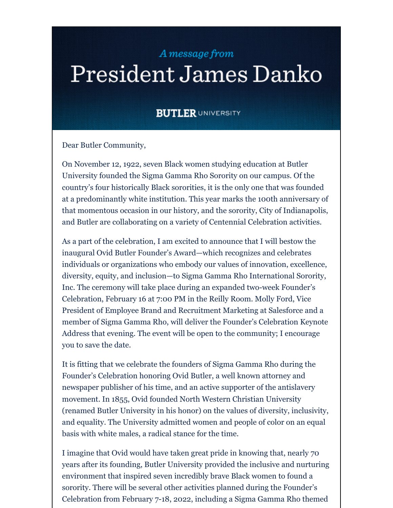## A message from

## President James Danko

## **BUTLER UNIVERSITY**

Dear Butler Community,

On November 12, 1922, seven Black women studying education at Butler University founded the Sigma Gamma Rho Sorority on our campus. Of the country's four historically Black sororities, it is the only one that was founded at a predominantly white institution. This year marks the 100th anniversary of that momentous occasion in our history, and the sorority, City of Indianapolis, and Butler are collaborating on a variety of Centennial Celebration activities.

As a part of the celebration, I am excited to announce that I will bestow the inaugural Ovid Butler Founder's Award—which recognizes and celebrates individuals or organizations who embody our values of innovation, excellence, diversity, equity, and inclusion—to Sigma Gamma Rho International Sorority, Inc. The ceremony will take place during an expanded two-week Founder's Celebration, February 16 at 7:00 PM in the Reilly Room. Molly Ford, Vice President of Employee Brand and Recruitment Marketing at Salesforce and a member of Sigma Gamma Rho, will deliver the Founder's Celebration Keynote Address that evening. The event will be open to the community; I encourage you to save the date.

It is fitting that we celebrate the founders of Sigma Gamma Rho during the Founder's Celebration honoring Ovid Butler, a well known attorney and newspaper publisher of his time, and an active supporter of the antislavery movement. In 1855, Ovid founded North Western Christian University (renamed Butler University in his honor) on the values of diversity, inclusivity, and equality. The University admitted women and people of color on an equal basis with white males, a radical stance for the time.

I imagine that Ovid would have taken great pride in knowing that, nearly 70 years after its founding, Butler University provided the inclusive and nurturing environment that inspired seven incredibly brave Black women to found a sorority. There will be several other activities planned during the Founder's Celebration from February 7-18, 2022, including a Sigma Gamma Rho themed